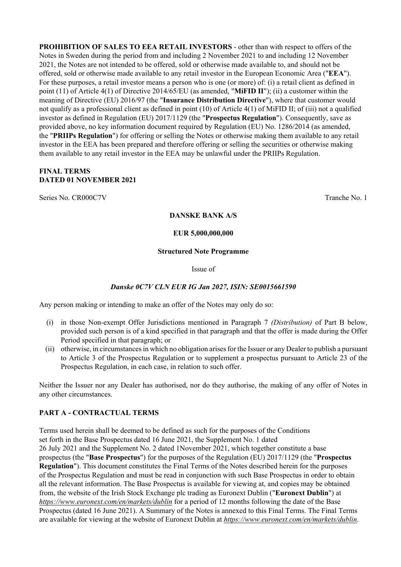**PROHIBITION OF SALES TO EEA RETAIL INVESTORS** - other than with respect to offers of the Notes in Sweden during the period from and including 2 November 2021 to and including 12 November 2021, the Notes are not intended to be offered, sold or otherwise made available to, and should not be offered, sold or otherwise made available to any retail investor in the European Economic Area ("**EEA**"). For these purposes, a retail investor means a person who is one (or more) of: (i) a retail client as defined in point (11) of Article 4(1) of Directive 2014/65/EU (as amended, "**MiFID II**"); (ii) a customer within the meaning of Directive (EU) 2016/97 (the "**Insurance Distribution Directive**"), where that customer would not qualify as a professional client as defined in point (10) of Article 4(1) of MiFID II; of (iii) not a qualified investor as defined in Regulation (EU) 2017/1129 (the "**Prospectus Regulation**"). Consequently, save as provided above, no key information document required by Regulation (EU) No. 1286/2014 (as amended, the "**PRIIPs Regulation**") for offering or selling the Notes or otherwise making them available to any retail investor in the EEA has been prepared and therefore offering or selling the securities or otherwise making them available to any retail investor in the EEA may be unlawful under the PRIIPs Regulation.

#### **FINAL TERMS DATED 01 NOVEMBER 2021**

Series No. CR000C7V Tranche No. 1

#### **DANSKE BANK A/S**

#### **EUR 5,000,000,000**

#### **Structured Note Programme**

Issue of

#### *Danske 0C7V CLN EUR IG Jan 2027, ISIN: SE0015661590*

Any person making or intending to make an offer of the Notes may only do so:

- (i) in those Non-exempt Offer Jurisdictions mentioned in Paragraph 7 *(Distribution)* of Part B below, provided such person is of a kind specified in that paragraph and that the offer is made during the Offer Period specified in that paragraph; or
- (ii) otherwise, in circumstances in which no obligation arises for the Issuer or any Dealer to publish a pursuant to Article 3 of the Prospectus Regulation or to supplement a prospectus pursuant to Article 23 of the Prospectus Regulation, in each case, in relation to such offer.

Neither the Issuer nor any Dealer has authorised, nor do they authorise, the making of any offer of Notes in any other circumstances.

#### **PART A - CONTRACTUAL TERMS**

Terms used herein shall be deemed to be defined as such for the purposes of the Conditions set forth in the Base Prospectus dated 16 June 2021, the Supplement No. 1 dated 26 July 2021 and the Supplement No. 2 dated 1November 2021, which together constitute a base prospectus (the "**Base Prospectus**") for the purposes of the Regulation (EU) 2017/1129 (the "**Prospectus Regulation**"). This document constitutes the Final Terms of the Notes described herein for the purposes of the Prospectus Regulation and must be read in conjunction with such Base Prospectus in order to obtain all the relevant information. The Base Prospectus is available for viewing at, and copies may be obtained from, the website of the Irish Stock Exchange plc trading as Euronext Dublin ("**Euronext Dublin**") at *https://www.euronext.com/en/markets/dublin* for a period of 12 months following the date of the Base Prospectus (dated 16 June 2021). A Summary of the Notes is annexed to this Final Terms. The Final Terms are available for viewing at the website of Euronext Dublin at *https://www.euronext.com/en/markets/dublin*.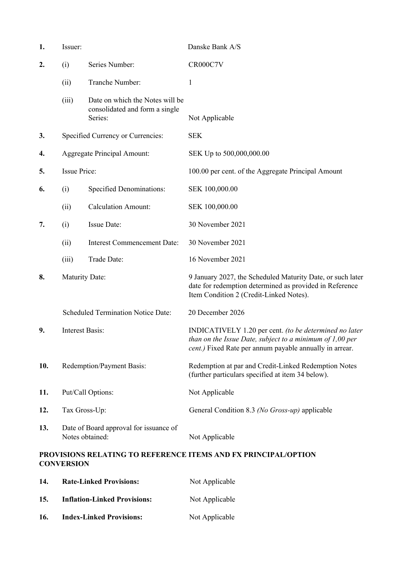| 1.  | Issuer:                   |                                                                              | Danske Bank A/S                                                                                                                                                                         |
|-----|---------------------------|------------------------------------------------------------------------------|-----------------------------------------------------------------------------------------------------------------------------------------------------------------------------------------|
| 2.  | (i)                       | Series Number:                                                               | CR000C7V                                                                                                                                                                                |
|     | (ii)                      | Tranche Number:                                                              | 1                                                                                                                                                                                       |
|     | (iii)                     | Date on which the Notes will be<br>consolidated and form a single<br>Series: | Not Applicable                                                                                                                                                                          |
| 3.  |                           | Specified Currency or Currencies:                                            | <b>SEK</b>                                                                                                                                                                              |
| 4.  |                           | <b>Aggregate Principal Amount:</b>                                           | SEK Up to 500,000,000.00                                                                                                                                                                |
| 5.  | <b>Issue Price:</b>       |                                                                              | 100.00 per cent. of the Aggregate Principal Amount                                                                                                                                      |
| 6.  | (i)                       | <b>Specified Denominations:</b>                                              | SEK 100,000.00                                                                                                                                                                          |
|     | (ii)                      | <b>Calculation Amount:</b>                                                   | SEK 100,000.00                                                                                                                                                                          |
| 7.  | (i)                       | Issue Date:                                                                  | 30 November 2021                                                                                                                                                                        |
|     | (ii)                      | <b>Interest Commencement Date:</b>                                           | 30 November 2021                                                                                                                                                                        |
|     | (iii)                     | Trade Date:                                                                  | 16 November 2021                                                                                                                                                                        |
| 8.  | <b>Maturity Date:</b>     |                                                                              | 9 January 2027, the Scheduled Maturity Date, or such later<br>date for redemption determined as provided in Reference<br>Item Condition 2 (Credit-Linked Notes).                        |
|     |                           | <b>Scheduled Termination Notice Date:</b>                                    | 20 December 2026                                                                                                                                                                        |
| 9.  | <b>Interest Basis:</b>    |                                                                              | INDICATIVELY 1.20 per cent. (to be determined no later<br>than on the Issue Date, subject to a minimum of $1,00$ per<br><i>cent.</i> ) Fixed Rate per annum payable annually in arrear. |
| 10. | Redemption/Payment Basis: |                                                                              | Redemption at par and Credit-Linked Redemption Notes<br>(further particulars specified at item 34 below).                                                                               |
| 11. | Put/Call Options:         |                                                                              | Not Applicable                                                                                                                                                                          |
| 12. | Tax Gross-Up:             |                                                                              | General Condition 8.3 (No Gross-up) applicable                                                                                                                                          |
| 13. | Notes obtained:           | Date of Board approval for issuance of                                       | Not Applicable                                                                                                                                                                          |
|     | <b>CONVERSION</b>         |                                                                              | PROVISIONS RELATING TO REFERENCE ITEMS AND FX PRINCIPAL/OPTION                                                                                                                          |

| 14. | <b>Rate-Linked Provisions:</b>      | Not Applicable |
|-----|-------------------------------------|----------------|
| 15. | <b>Inflation-Linked Provisions:</b> | Not Applicable |
| 16. | <b>Index-Linked Provisions:</b>     | Not Applicable |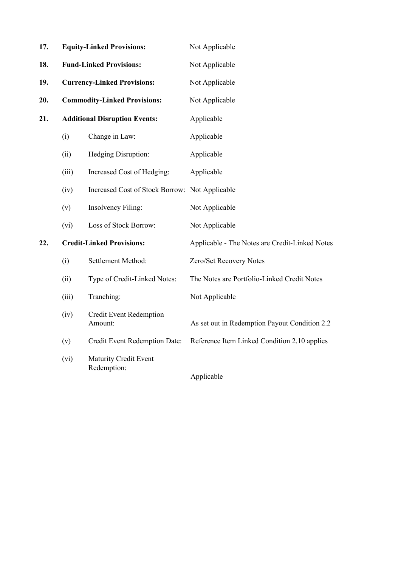| 17. |                                      | <b>Equity-Linked Provisions:</b>               | Not Applicable                                 |
|-----|--------------------------------------|------------------------------------------------|------------------------------------------------|
| 18. |                                      | <b>Fund-Linked Provisions:</b>                 | Not Applicable                                 |
| 19. |                                      | <b>Currency-Linked Provisions:</b>             | Not Applicable                                 |
| 20. | <b>Commodity-Linked Provisions:</b>  |                                                | Not Applicable                                 |
| 21. | <b>Additional Disruption Events:</b> |                                                | Applicable                                     |
|     | (i)                                  | Change in Law:                                 | Applicable                                     |
|     | (ii)                                 | Hedging Disruption:                            | Applicable                                     |
|     | (iii)                                | Increased Cost of Hedging:                     | Applicable                                     |
|     | (iv)                                 | Increased Cost of Stock Borrow: Not Applicable |                                                |
|     | (v)                                  | <b>Insolvency Filing:</b>                      | Not Applicable                                 |
|     | (vi)                                 | Loss of Stock Borrow:                          | Not Applicable                                 |
| 22. |                                      | <b>Credit-Linked Provisions:</b>               | Applicable - The Notes are Credit-Linked Notes |
|     | (i)                                  | Settlement Method:                             | Zero/Set Recovery Notes                        |
|     | (ii)                                 | Type of Credit-Linked Notes:                   | The Notes are Portfolio-Linked Credit Notes    |
|     | (iii)                                | Tranching:                                     | Not Applicable                                 |
|     | (iv)                                 | Credit Event Redemption<br>Amount:             | As set out in Redemption Payout Condition 2.2  |
|     | (v)                                  | Credit Event Redemption Date:                  | Reference Item Linked Condition 2.10 applies   |
|     | (vi)                                 | <b>Maturity Credit Event</b><br>Redemption:    | Applicable                                     |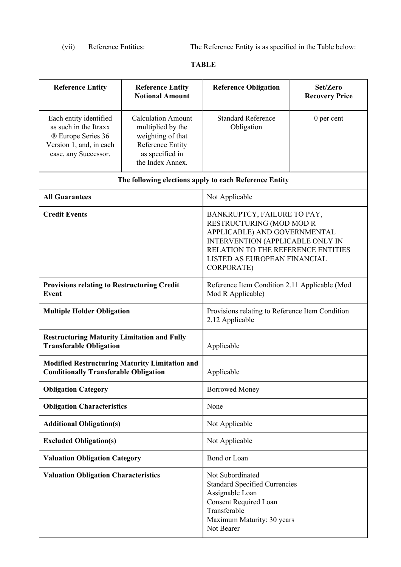(vii) Reference Entities: The Reference Entity is as specified in the Table below:

# **TABLE**

| <b>Reference Entity</b>                                                                                                  | <b>Reference Entity</b><br><b>Notional Amount</b>                                                                              | <b>Reference Obligation</b>                                                                                                                                                                                            | Set/Zero<br><b>Recovery Price</b> |  |
|--------------------------------------------------------------------------------------------------------------------------|--------------------------------------------------------------------------------------------------------------------------------|------------------------------------------------------------------------------------------------------------------------------------------------------------------------------------------------------------------------|-----------------------------------|--|
| Each entity identified<br>as such in the Itraxx<br>® Europe Series 36<br>Version 1, and, in each<br>case, any Successor. | <b>Calculation Amount</b><br>multiplied by the<br>weighting of that<br>Reference Entity<br>as specified in<br>the Index Annex. | <b>Standard Reference</b><br>Obligation                                                                                                                                                                                | 0 per cent                        |  |
|                                                                                                                          |                                                                                                                                | The following elections apply to each Reference Entity                                                                                                                                                                 |                                   |  |
| <b>All Guarantees</b>                                                                                                    |                                                                                                                                | Not Applicable                                                                                                                                                                                                         |                                   |  |
| <b>Credit Events</b>                                                                                                     |                                                                                                                                | BANKRUPTCY, FAILURE TO PAY,<br>RESTRUCTURING (MOD MOD R<br>APPLICABLE) AND GOVERNMENTAL<br>INTERVENTION (APPLICABLE ONLY IN<br>RELATION TO THE REFERENCE ENTITIES<br>LISTED AS EUROPEAN FINANCIAL<br><b>CORPORATE)</b> |                                   |  |
| <b>Provisions relating to Restructuring Credit</b><br>Event                                                              |                                                                                                                                | Reference Item Condition 2.11 Applicable (Mod<br>Mod R Applicable)                                                                                                                                                     |                                   |  |
| <b>Multiple Holder Obligation</b>                                                                                        |                                                                                                                                | Provisions relating to Reference Item Condition<br>2.12 Applicable                                                                                                                                                     |                                   |  |
| <b>Restructuring Maturity Limitation and Fully</b><br><b>Transferable Obligation</b>                                     |                                                                                                                                | Applicable                                                                                                                                                                                                             |                                   |  |
| <b>Conditionally Transferable Obligation</b>                                                                             | <b>Modified Restructuring Maturity Limitation and</b>                                                                          | Applicable                                                                                                                                                                                                             |                                   |  |
| <b>Obligation Category</b>                                                                                               |                                                                                                                                | <b>Borrowed Money</b>                                                                                                                                                                                                  |                                   |  |
| <b>Obligation Characteristics</b>                                                                                        |                                                                                                                                | None                                                                                                                                                                                                                   |                                   |  |
| <b>Additional Obligation(s)</b>                                                                                          |                                                                                                                                | Not Applicable                                                                                                                                                                                                         |                                   |  |
| <b>Excluded Obligation(s)</b>                                                                                            |                                                                                                                                | Not Applicable                                                                                                                                                                                                         |                                   |  |
| <b>Valuation Obligation Category</b>                                                                                     |                                                                                                                                | Bond or Loan                                                                                                                                                                                                           |                                   |  |
| <b>Valuation Obligation Characteristics</b>                                                                              |                                                                                                                                | Not Subordinated<br><b>Standard Specified Currencies</b><br>Assignable Loan<br><b>Consent Required Loan</b><br>Transferable<br>Maximum Maturity: 30 years<br>Not Bearer                                                |                                   |  |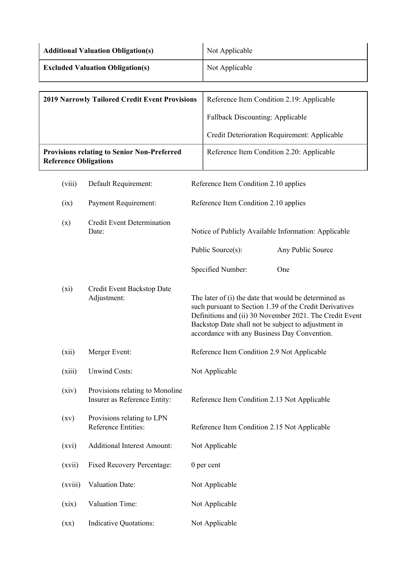| <b>Additional Valuation Obligation(s)</b> | Not Applicable |
|-------------------------------------------|----------------|
| <b>Excluded Valuation Obligation(s)</b>   | Not Applicable |

| <b>2019 Narrowly Tailored Credit Event Provisions</b>                              | Reference Item Condition 2.19: Applicable    |
|------------------------------------------------------------------------------------|----------------------------------------------|
|                                                                                    | <b>Fallback Discounting: Applicable</b>      |
|                                                                                    | Credit Deterioration Requirement: Applicable |
| <b>Provisions relating to Senior Non-Preferred</b><br><b>Reference Obligations</b> | Reference Item Condition 2.20: Applicable    |

| (viii) | Default Requirement:                       | Reference Item Condition 2.10 applies |                                                                                                                                                                             |
|--------|--------------------------------------------|---------------------------------------|-----------------------------------------------------------------------------------------------------------------------------------------------------------------------------|
| (ix)   | Payment Requirement:                       | Reference Item Condition 2.10 applies |                                                                                                                                                                             |
| (x)    | <b>Credit Event Determination</b><br>Date: |                                       | Notice of Publicly Available Information: Applicable                                                                                                                        |
|        |                                            | Public Source(s):                     | Any Public Source                                                                                                                                                           |
|        |                                            | Specified Number:                     | <b>One</b>                                                                                                                                                                  |
| (xi)   | Credit Event Backstop Date<br>Adjustment:  |                                       | The later of (i) the date that would be determined as<br>such pursuant to Section 1.39 of the Credit Derivatives<br>Definitions and (ii) 30 November 2021. The Credit Event |

| (xii) | Merger Event: | Reference Item Condition 2.9 Not Applicable |
|-------|---------------|---------------------------------------------|

Backstop Date shall not be subject to adjustment in accordance with any Business Day Convention.

| (xiii)             | <b>Unwind Costs:</b>                                            | Not Applicable                               |
|--------------------|-----------------------------------------------------------------|----------------------------------------------|
| (xiv)              | Provisions relating to Monoline<br>Insurer as Reference Entity: | Reference Item Condition 2.13 Not Applicable |
| $\left( xy\right)$ | Provisions relating to LPN<br>Reference Entities:               | Reference Item Condition 2.15 Not Applicable |
| (xvi)              | <b>Additional Interest Amount:</b>                              | Not Applicable                               |
| (xvii)             | <b>Fixed Recovery Percentage:</b>                               | 0 per cent                                   |
| (xviii)            | <b>Valuation Date:</b>                                          | Not Applicable                               |
| (xix)              | Valuation Time:                                                 | Not Applicable                               |

(xx) Indicative Quotations: Not Applicable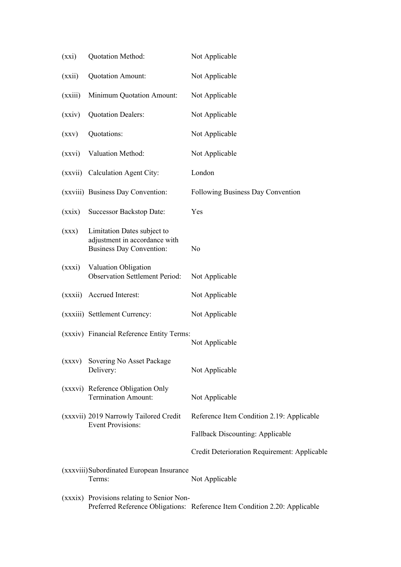| (xxi)   | Quotation Method:                                                                               | Not Applicable                                                             |
|---------|-------------------------------------------------------------------------------------------------|----------------------------------------------------------------------------|
| (xxii)  | Quotation Amount:                                                                               | Not Applicable                                                             |
| (xxiii) | Minimum Quotation Amount:                                                                       | Not Applicable                                                             |
| (xxiv)  | <b>Quotation Dealers:</b>                                                                       | Not Applicable                                                             |
| (xxy)   | Quotations:                                                                                     | Not Applicable                                                             |
| (xxvi)  | Valuation Method:                                                                               | Not Applicable                                                             |
|         | (xxvii) Calculation Agent City:                                                                 | London                                                                     |
|         | (xxviii) Business Day Convention:                                                               | Following Business Day Convention                                          |
| (xxix)  | <b>Successor Backstop Date:</b>                                                                 | Yes                                                                        |
| (xxx)   | Limitation Dates subject to<br>adjustment in accordance with<br><b>Business Day Convention:</b> | No                                                                         |
| (xxxi)  | Valuation Obligation<br><b>Observation Settlement Period:</b>                                   | Not Applicable                                                             |
| (xxxii) | Accrued Interest:                                                                               | Not Applicable                                                             |
|         | (xxxiii) Settlement Currency:                                                                   | Not Applicable                                                             |
|         | (xxxiv) Financial Reference Entity Terms:                                                       | Not Applicable                                                             |
|         | (xxxv) Sovering No Asset Package<br>Delivery:                                                   | Not Applicable                                                             |
|         | (xxxvi) Reference Obligation Only<br><b>Termination Amount:</b>                                 | Not Applicable                                                             |
|         | (xxxvii) 2019 Narrowly Tailored Credit<br><b>Event Provisions:</b>                              | Reference Item Condition 2.19: Applicable                                  |
|         |                                                                                                 | <b>Fallback Discounting: Applicable</b>                                    |
|         |                                                                                                 | Credit Deterioration Requirement: Applicable                               |
|         | (xxxviii) Subordinated European Insurance<br>Terms:                                             | Not Applicable                                                             |
|         | (xxxix) Provisions relating to Senior Non-                                                      | Preferred Reference Obligations: Reference Item Condition 2.20: Applicable |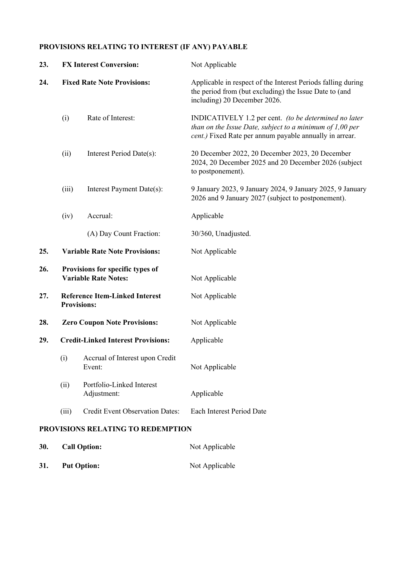# **PROVISIONS RELATING TO INTEREST (IF ANY) PAYABLE**

| 23. | <b>FX Interest Conversion:</b>                                                             |                                           | Not Applicable                                                                                                                                                                 |  |
|-----|--------------------------------------------------------------------------------------------|-------------------------------------------|--------------------------------------------------------------------------------------------------------------------------------------------------------------------------------|--|
| 24. | <b>Fixed Rate Note Provisions:</b>                                                         |                                           | Applicable in respect of the Interest Periods falling during<br>the period from (but excluding) the Issue Date to (and<br>including) 20 December 2026.                         |  |
|     | (i)                                                                                        | Rate of Interest:                         | INDICATIVELY 1.2 per cent. (to be determined no later<br>than on the Issue Date, subject to a minimum of $1,00$ per<br>cent.) Fixed Rate per annum payable annually in arrear. |  |
|     | (ii)<br>Interest Period Date(s):<br>Interest Payment Date(s):<br>(iii)<br>Accrual:<br>(iv) |                                           | 20 December 2022, 20 December 2023, 20 December<br>2024, 20 December 2025 and 20 December 2026 (subject<br>to postponement).                                                   |  |
|     |                                                                                            |                                           | 9 January 2023, 9 January 2024, 9 January 2025, 9 January<br>2026 and 9 January 2027 (subject to postponement).                                                                |  |
|     |                                                                                            |                                           | Applicable                                                                                                                                                                     |  |
|     |                                                                                            | (A) Day Count Fraction:                   | 30/360, Unadjusted.                                                                                                                                                            |  |
| 25. | <b>Variable Rate Note Provisions:</b>                                                      |                                           | Not Applicable                                                                                                                                                                 |  |
| 26. | Provisions for specific types of<br><b>Variable Rate Notes:</b>                            |                                           | Not Applicable                                                                                                                                                                 |  |
| 27. | <b>Reference Item-Linked Interest</b><br><b>Provisions:</b>                                |                                           | Not Applicable                                                                                                                                                                 |  |
| 28. | <b>Zero Coupon Note Provisions:</b>                                                        |                                           | Not Applicable                                                                                                                                                                 |  |
| 29. |                                                                                            | <b>Credit-Linked Interest Provisions:</b> | Applicable                                                                                                                                                                     |  |
|     | (i)                                                                                        | Accrual of Interest upon Credit<br>Event: | Not Applicable                                                                                                                                                                 |  |
|     | (ii)                                                                                       | Portfolio-Linked Interest<br>Adjustment:  | Applicable                                                                                                                                                                     |  |
|     | (iii)                                                                                      | <b>Credit Event Observation Dates:</b>    | Each Interest Period Date                                                                                                                                                      |  |
|     | PROVISIONS RELATING TO REDEMPTION                                                          |                                           |                                                                                                                                                                                |  |
| 30. |                                                                                            | <b>Call Option:</b>                       | Not Applicable                                                                                                                                                                 |  |

**31. Put Option:** Not Applicable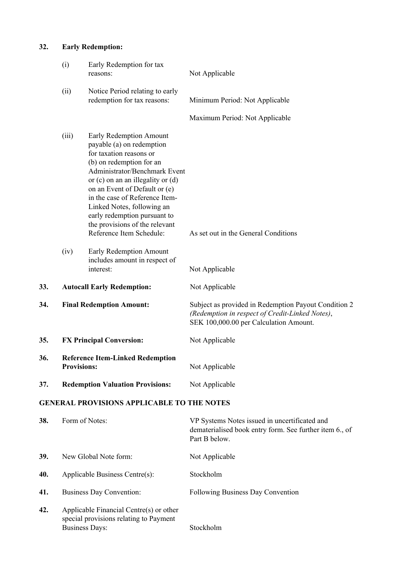# **32. Early Redemption:**

|     | (i)                                                           | Early Redemption for tax<br>reasons:                                                                                                                                                                                                                                                                                                                                                 | Not Applicable                                                                                                                                    |
|-----|---------------------------------------------------------------|--------------------------------------------------------------------------------------------------------------------------------------------------------------------------------------------------------------------------------------------------------------------------------------------------------------------------------------------------------------------------------------|---------------------------------------------------------------------------------------------------------------------------------------------------|
|     | (ii)                                                          | Notice Period relating to early<br>redemption for tax reasons:                                                                                                                                                                                                                                                                                                                       | Minimum Period: Not Applicable                                                                                                                    |
|     |                                                               |                                                                                                                                                                                                                                                                                                                                                                                      | Maximum Period: Not Applicable                                                                                                                    |
|     | (iii)                                                         | Early Redemption Amount<br>payable (a) on redemption<br>for taxation reasons or<br>(b) on redemption for an<br>Administrator/Benchmark Event<br>or $(c)$ on an an illegality or $(d)$<br>on an Event of Default or (e)<br>in the case of Reference Item-<br>Linked Notes, following an<br>early redemption pursuant to<br>the provisions of the relevant<br>Reference Item Schedule: | As set out in the General Conditions                                                                                                              |
|     | (iv)                                                          | Early Redemption Amount<br>includes amount in respect of<br>interest:                                                                                                                                                                                                                                                                                                                | Not Applicable                                                                                                                                    |
| 33. |                                                               | <b>Autocall Early Redemption:</b>                                                                                                                                                                                                                                                                                                                                                    | Not Applicable                                                                                                                                    |
| 34. | <b>Final Redemption Amount:</b>                               |                                                                                                                                                                                                                                                                                                                                                                                      | Subject as provided in Redemption Payout Condition 2<br>(Redemption in respect of Credit-Linked Notes),<br>SEK 100,000.00 per Calculation Amount. |
| 35. | <b>FX Principal Conversion:</b>                               |                                                                                                                                                                                                                                                                                                                                                                                      | Not Applicable                                                                                                                                    |
| 36. | <b>Reference Item-Linked Redemption</b><br><b>Provisions:</b> |                                                                                                                                                                                                                                                                                                                                                                                      | Not Applicable                                                                                                                                    |
| 37. |                                                               | <b>Redemption Valuation Provisions:</b>                                                                                                                                                                                                                                                                                                                                              | Not Applicable                                                                                                                                    |
|     |                                                               | <b>GENERAL PROVISIONS APPLICABLE TO THE NOTES</b>                                                                                                                                                                                                                                                                                                                                    |                                                                                                                                                   |
| 38. |                                                               | Form of Notes:                                                                                                                                                                                                                                                                                                                                                                       | VP Systems Notes issued in uncertificated and<br>dematerialised book entry form. See further item 6., of<br>Part B below.                         |
| 39. |                                                               | New Global Note form:                                                                                                                                                                                                                                                                                                                                                                | Not Applicable                                                                                                                                    |
| 40. |                                                               | Applicable Business Centre(s):                                                                                                                                                                                                                                                                                                                                                       | Stockholm                                                                                                                                         |
| 41. |                                                               | <b>Business Day Convention:</b>                                                                                                                                                                                                                                                                                                                                                      | Following Business Day Convention                                                                                                                 |
| 42. |                                                               | Applicable Financial Centre(s) or other<br>special provisions relating to Payment<br><b>Business Days:</b>                                                                                                                                                                                                                                                                           | Stockholm                                                                                                                                         |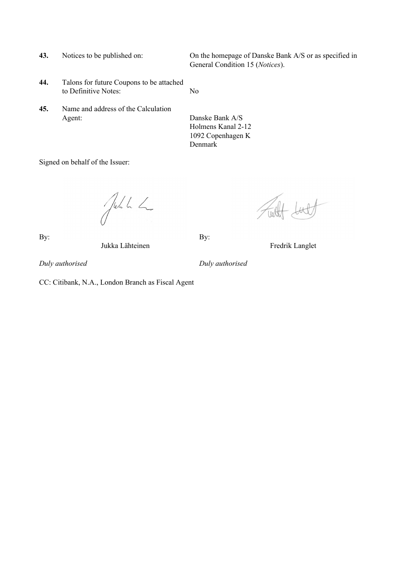- 
- **44.** Talons for future Coupons to be attached to Definitive Notes: No
- **45.** Name and address of the Calculation Agent: Danske Bank A/S

**43.** Notices to be published on: On the homepage of Danske Bank A/S or as specified in General Condition 15 (*Notices*).

> Holmens Kanal 2-12 1092 Copenhagen K Denmark

Signed on behalf of the Issuer:

Jehn L

By: By:

Jukka Lähteinen Fredrik Langlet

*Duly authorised Duly authorised*

CC: Citibank, N.A., London Branch as Fiscal Agent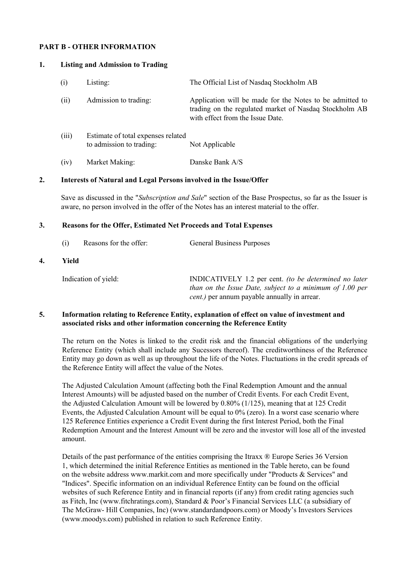#### **PART B - OTHER INFORMATION**

#### **1. Listing and Admission to Trading**

| (i)   | Listing:                                                       | The Official List of Nasdaq Stockholm AB                                                                                                               |
|-------|----------------------------------------------------------------|--------------------------------------------------------------------------------------------------------------------------------------------------------|
| (ii)  | Admission to trading:                                          | Application will be made for the Notes to be admitted to<br>trading on the regulated market of Nasdaq Stockholm AB<br>with effect from the Issue Date. |
| (iii) | Estimate of total expenses related<br>to admission to trading: | Not Applicable                                                                                                                                         |
| (iv)  | Market Making:                                                 | Danske Bank A/S                                                                                                                                        |

#### **2. Interests of Natural and Legal Persons involved in the Issue/Offer**

Save as discussed in the "*Subscription and Sale*" section of the Base Prospectus, so far as the Issuer is aware, no person involved in the offer of the Notes has an interest material to the offer.

#### **3. Reasons for the Offer, Estimated Net Proceeds and Total Expenses**

| (i) | Reasons for the offer: | <b>General Business Purposes</b> |
|-----|------------------------|----------------------------------|
|     |                        |                                  |

**4. Yield**

Indication of yield: INDICATIVELY 1.2 per cent. *(to be determined no later than on the Issue Date, subject to a minimum of 1.00 per cent.)* per annum payable annually in arrear.

#### **5. Information relating to Reference Entity, explanation of effect on value of investment and associated risks and other information concerning the Reference Entity**

The return on the Notes is linked to the credit risk and the financial obligations of the underlying Reference Entity (which shall include any Sucessors thereof). The creditworthiness of the Reference Entity may go down as well as up throughout the life of the Notes. Fluctuations in the credit spreads of the Reference Entity will affect the value of the Notes.

The Adjusted Calculation Amount (affecting both the Final Redemption Amount and the annual Interest Amounts) will be adjusted based on the number of Credit Events. For each Credit Event, the Adjusted Calculation Amount will be lowered by 0.80% (1/125), meaning that at 125 Credit Events, the Adjusted Calculation Amount will be equal to 0% (zero). In a worst case scenario where 125 Reference Entities experience a Credit Event during the first Interest Period, both the Final Redemption Amount and the Interest Amount will be zero and the investor will lose all of the invested amount.

Details of the past performance of the entities comprising the Itraxx ® Europe Series 36 Version 1, which determined the initial Reference Entities as mentioned in the Table hereto, can be found on the website address www.markit.com and more specifically under "Products & Services" and "Indices". Specific information on an individual Reference Entity can be found on the official websites of such Reference Entity and in financial reports (if any) from credit rating agencies such as Fitch, Inc (www.fitchratings.com), Standard & Poor's Financial Services LLC (a subsidiary of The McGraw- Hill Companies, Inc) (www.standardandpoors.com) or Moody's Investors Services (www.moodys.com) published in relation to such Reference Entity.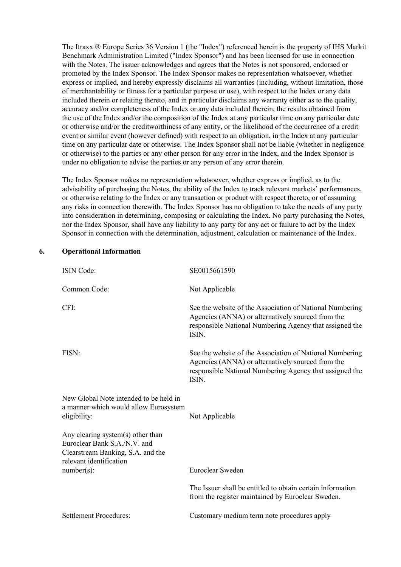The Itraxx ® Europe Series 36 Version 1 (the "Index") referenced herein is the property of IHS Markit Benchmark Administration Limited ("Index Sponsor") and has been licensed for use in connection with the Notes. The issuer acknowledges and agrees that the Notes is not sponsored, endorsed or promoted by the Index Sponsor. The Index Sponsor makes no representation whatsoever, whether express or implied, and hereby expressly disclaims all warranties (including, without limitation, those of merchantability or fitness for a particular purpose or use), with respect to the Index or any data included therein or relating thereto, and in particular disclaims any warranty either as to the quality, accuracy and/or completeness of the Index or any data included therein, the results obtained from the use of the Index and/or the composition of the Index at any particular time on any particular date or otherwise and/or the creditworthiness of any entity, or the likelihood of the occurrence of a credit event or similar event (however defined) with respect to an obligation, in the Index at any particular time on any particular date or otherwise. The Index Sponsor shall not be liable (whether in negligence or otherwise) to the parties or any other person for any error in the Index, and the Index Sponsor is under no obligation to advise the parties or any person of any error therein.

The Index Sponsor makes no representation whatsoever, whether express or implied, as to the advisability of purchasing the Notes, the ability of the Index to track relevant markets' performances, or otherwise relating to the Index or any transaction or product with respect thereto, or of assuming any risks in connection therewith. The Index Sponsor has no obligation to take the needs of any party into consideration in determining, composing or calculating the Index. No party purchasing the Notes, nor the Index Sponsor, shall have any liability to any party for any act or failure to act by the Index Sponsor in connection with the determination, adjustment, calculation or maintenance of the Index.

# ISIN Code: SE0015661590 Common Code: Not Applicable CFI: See the website of the Association of National Numbering Agencies (ANNA) or alternatively sourced from the responsible National Numbering Agency that assigned the ISIN. FISN: See the website of the Association of National Numbering Agencies (ANNA) or alternatively sourced from the responsible National Numbering Agency that assigned the ISIN. New Global Note intended to be held in a manner which would allow Eurosystem eligibility: Not Applicable Any clearing system(s) other than Euroclear Bank S.A./N.V. and Clearstream Banking, S.A. and the relevant identification number(s): Euroclear Sweden The Issuer shall be entitled to obtain certain information from the register maintained by Euroclear Sweden. Settlement Procedures: Customary medium term note procedures apply

#### **6. Operational Information**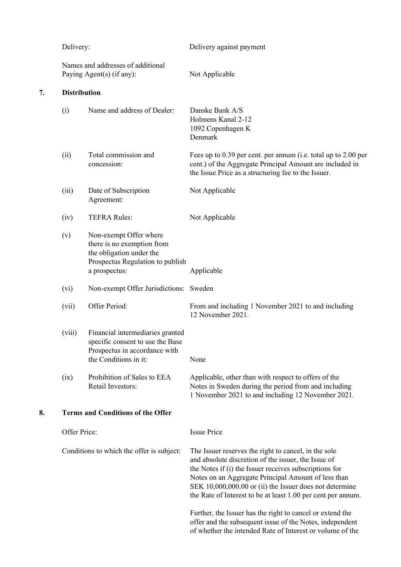|    | Delivery:<br>Names and addresses of additional<br>Paying Agent(s) (if any): |                                                                                                                                       | Delivery against payment                                                                                                                                                                                                                                                                                                                                                                                             |  |  |  |
|----|-----------------------------------------------------------------------------|---------------------------------------------------------------------------------------------------------------------------------------|----------------------------------------------------------------------------------------------------------------------------------------------------------------------------------------------------------------------------------------------------------------------------------------------------------------------------------------------------------------------------------------------------------------------|--|--|--|
|    |                                                                             |                                                                                                                                       | Not Applicable                                                                                                                                                                                                                                                                                                                                                                                                       |  |  |  |
| 7. | <b>Distribution</b>                                                         |                                                                                                                                       |                                                                                                                                                                                                                                                                                                                                                                                                                      |  |  |  |
|    | (i)                                                                         | Name and address of Dealer:                                                                                                           | Danske Bank A/S<br>Holmens Kanal 2-12<br>1092 Copenhagen K<br>Denmark                                                                                                                                                                                                                                                                                                                                                |  |  |  |
|    | (ii)                                                                        | Total commission and<br>concession:                                                                                                   | Fees up to 0.39 per cent. per annum (i.e. total up to 2.00 per<br>cent.) of the Aggregate Principal Amount are included in<br>the Issue Price as a structuring fee to the Issuer.                                                                                                                                                                                                                                    |  |  |  |
|    | (iii)                                                                       | Date of Subscription<br>Agreement:                                                                                                    | Not Applicable                                                                                                                                                                                                                                                                                                                                                                                                       |  |  |  |
|    | (iv)                                                                        | <b>TEFRA Rules:</b>                                                                                                                   | Not Applicable                                                                                                                                                                                                                                                                                                                                                                                                       |  |  |  |
|    | (v)                                                                         | Non-exempt Offer where<br>there is no exemption from<br>the obligation under the<br>Prospectus Regulation to publish<br>a prospectus: | Applicable                                                                                                                                                                                                                                                                                                                                                                                                           |  |  |  |
|    | (vi)                                                                        | Non-exempt Offer Jurisdictions: Sweden                                                                                                |                                                                                                                                                                                                                                                                                                                                                                                                                      |  |  |  |
|    | (vii)                                                                       | Offer Period:                                                                                                                         | From and including 1 November 2021 to and including<br>12 November 2021.                                                                                                                                                                                                                                                                                                                                             |  |  |  |
|    | (viii)                                                                      | Financial intermediaries granted<br>specific consent to use the Base<br>Prospectus in accordance with<br>the Conditions in it:        | None                                                                                                                                                                                                                                                                                                                                                                                                                 |  |  |  |
|    | (ix)                                                                        | Prohibition of Sales to EEA<br>Retail Investors:                                                                                      | Applicable, other than with respect to offers of the<br>Notes in Sweden during the period from and including<br>1 November 2021 to and including 12 November 2021.                                                                                                                                                                                                                                                   |  |  |  |
| 8. |                                                                             | <b>Terms and Conditions of the Offer</b>                                                                                              |                                                                                                                                                                                                                                                                                                                                                                                                                      |  |  |  |
|    | Offer Price:                                                                |                                                                                                                                       | <b>Issue Price</b>                                                                                                                                                                                                                                                                                                                                                                                                   |  |  |  |
|    |                                                                             | Conditions to which the offer is subject:                                                                                             | The Issuer reserves the right to cancel, in the sole<br>and absolute discretion of the issuer, the Issue of<br>the Notes if (i) the Issuer receives subscriptions for<br>Notes on an Aggregate Principal Amount of less than<br>SEK 10,000,000.00 or (ii) the Issuer does not determine<br>the Rate of Interest to be at least 1.00 per cent per annum.<br>Further, the Issuer has the right to cancel or extend the |  |  |  |
|    |                                                                             |                                                                                                                                       | offer and the subsequent issue of the Notes, independent<br>of whether the intended Rate of Interest or volume of the                                                                                                                                                                                                                                                                                                |  |  |  |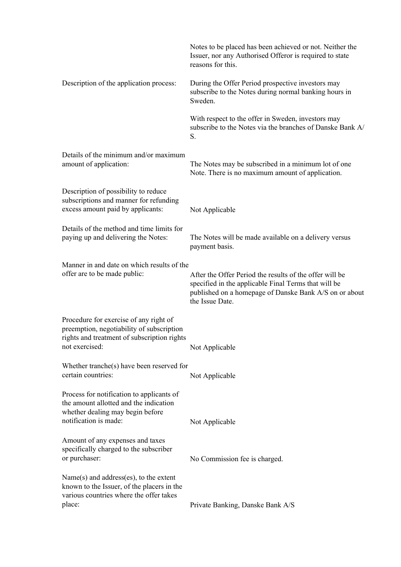|                                                                                                                                                      | Notes to be placed has been achieved or not. Neither the<br>Issuer, nor any Authorised Offeror is required to state<br>reasons for this.                                                     |
|------------------------------------------------------------------------------------------------------------------------------------------------------|----------------------------------------------------------------------------------------------------------------------------------------------------------------------------------------------|
| Description of the application process:                                                                                                              | During the Offer Period prospective investors may<br>subscribe to the Notes during normal banking hours in<br>Sweden.                                                                        |
|                                                                                                                                                      | With respect to the offer in Sweden, investors may<br>subscribe to the Notes via the branches of Danske Bank A/<br>S.                                                                        |
| Details of the minimum and/or maximum<br>amount of application:                                                                                      | The Notes may be subscribed in a minimum lot of one<br>Note. There is no maximum amount of application.                                                                                      |
| Description of possibility to reduce<br>subscriptions and manner for refunding<br>excess amount paid by applicants:                                  | Not Applicable                                                                                                                                                                               |
| Details of the method and time limits for<br>paying up and delivering the Notes:                                                                     | The Notes will be made available on a delivery versus<br>payment basis.                                                                                                                      |
| Manner in and date on which results of the<br>offer are to be made public:                                                                           | After the Offer Period the results of the offer will be<br>specified in the applicable Final Terms that will be<br>published on a homepage of Danske Bank A/S on or about<br>the Issue Date. |
| Procedure for exercise of any right of<br>preemption, negotiability of subscription<br>rights and treatment of subscription rights<br>not exercised: | Not Applicable                                                                                                                                                                               |
| Whether tranche(s) have been reserved for<br>certain countries:                                                                                      | Not Applicable                                                                                                                                                                               |
| Process for notification to applicants of<br>the amount allotted and the indication<br>whether dealing may begin before<br>notification is made:     | Not Applicable                                                                                                                                                                               |
| Amount of any expenses and taxes<br>specifically charged to the subscriber<br>or purchaser:                                                          | No Commission fee is charged.                                                                                                                                                                |
| Name(s) and address(es), to the extent<br>known to the Issuer, of the placers in the<br>various countries where the offer takes<br>place:            | Private Banking, Danske Bank A/S                                                                                                                                                             |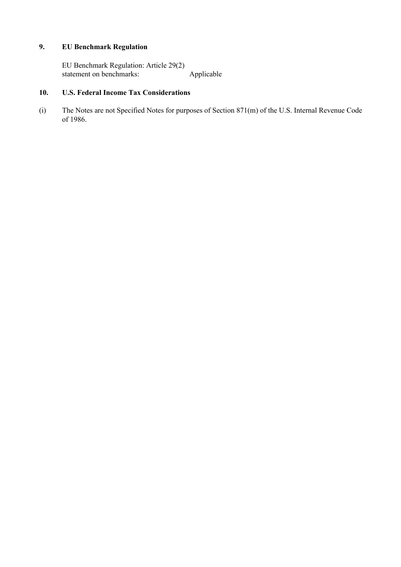# **9. EU Benchmark Regulation**

EU Benchmark Regulation: Article 29(2) statement on benchmarks: Applicable

### **10. U.S. Federal Income Tax Considerations**

(i) The Notes are not Specified Notes for purposes of Section 871(m) of the U.S. Internal Revenue Code of 1986.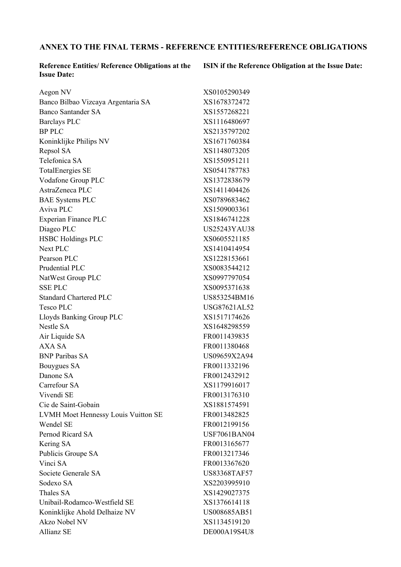# **ANNEX TO THE FINAL TERMS - REFERENCE ENTITIES/REFERENCE OBLIGATIONS**

**Reference Entities/ Reference Obligations at the Issue Date:**

**ISIN if the Reference Obligation at the Issue Date:**

| Aegon NV                            | XS0105290349        |
|-------------------------------------|---------------------|
| Banco Bilbao Vizcaya Argentaria SA  | XS1678372472        |
| <b>Banco Santander SA</b>           | XS1557268221        |
| <b>Barclays PLC</b>                 | XS1116480697        |
| <b>BP PLC</b>                       | XS2135797202        |
| Koninklijke Philips NV              | XS1671760384        |
| Repsol SA                           | XS1148073205        |
| Telefonica SA                       | XS1550951211        |
| <b>TotalEnergies SE</b>             | XS0541787783        |
| Vodafone Group PLC                  | XS1372838679        |
| AstraZeneca PLC                     | XS1411404426        |
| <b>BAE Systems PLC</b>              | XS0789683462        |
| Aviva PLC                           | XS1509003361        |
| Experian Finance PLC                | XS1846741228        |
| Diageo PLC                          | US25243YAU38        |
| <b>HSBC Holdings PLC</b>            | XS0605521185        |
| <b>Next PLC</b>                     | XS1410414954        |
| Pearson PLC                         | XS1228153661        |
| Prudential PLC                      | XS0083544212        |
| NatWest Group PLC                   | XS0997797054        |
| <b>SSE PLC</b>                      | XS0095371638        |
| <b>Standard Chartered PLC</b>       | US853254BM16        |
| Tesco PLC                           | USG87621AL52        |
| Lloyds Banking Group PLC            | XS1517174626        |
| <b>Nestle SA</b>                    | XS1648298559        |
| Air Liquide SA                      | FR0011439835        |
| <b>AXA SA</b>                       | FR0011380468        |
| <b>BNP Paribas SA</b>               | US09659X2A94        |
| Bouygues SA                         | FR0011332196        |
| Danone SA                           | FR0012432912        |
| Carrefour SA                        | XS1179916017        |
| Vivendi SE                          | FR0013176310        |
| Cie de Saint-Gobain                 | XS1881574591        |
| LVMH Moet Hennessy Louis Vuitton SE | FR0013482825        |
| <b>Wendel SE</b>                    | FR0012199156        |
| Pernod Ricard SA                    | <b>USF7061BAN04</b> |
| Kering SA                           | FR0013165677        |
| Publicis Groupe SA                  | FR0013217346        |
| Vinci SA                            | FR0013367620        |
| Societe Generale SA                 | <b>US83368TAF57</b> |
| Sodexo SA                           | XS2203995910        |
| Thales SA                           | XS1429027375        |
| Unibail-Rodamco-Westfield SE        | XS1376614118        |
| Koninklijke Ahold Delhaize NV       | US008685AB51        |
| Akzo Nobel NV                       | XS1134519120        |
| <b>Allianz SE</b>                   | DE000A19S4U8        |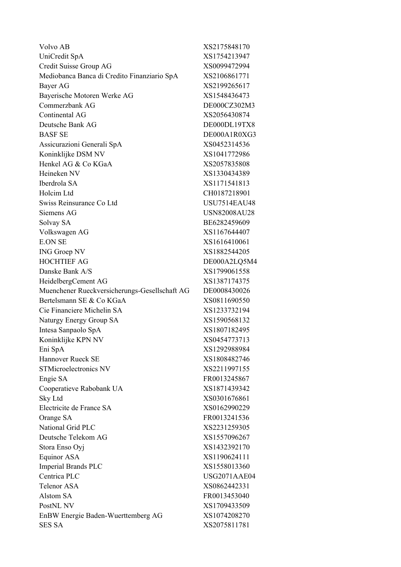| Volvo AB                                      | XS2175848170        |
|-----------------------------------------------|---------------------|
| UniCredit SpA                                 | XS1754213947        |
| Credit Suisse Group AG                        | XS0099472994        |
| Mediobanca Banca di Credito Finanziario SpA   | XS2106861771        |
| Bayer AG                                      | XS2199265617        |
| Bayerische Motoren Werke AG                   | XS1548436473        |
| Commerzbank AG                                | DE000CZ302M3        |
| Continental AG                                | XS2056430874        |
| Deutsche Bank AG                              | DE000DL19TX8        |
| <b>BASF SE</b>                                | DE000A1R0XG3        |
| Assicurazioni Generali SpA                    | XS0452314536        |
| Koninklijke DSM NV                            | XS1041772986        |
| Henkel AG & Co KGaA                           | XS2057835808        |
| Heineken NV                                   | XS1330434389        |
| Iberdrola SA                                  | XS1171541813        |
| Holcim Ltd                                    | CH0187218901        |
| Swiss Reinsurance Co Ltd                      | <b>USU7514EAU48</b> |
| Siemens AG                                    | <b>USN82008AU28</b> |
| Solvay SA                                     | BE6282459609        |
| Volkswagen AG                                 | XS1167644407        |
| <b>E.ON SE</b>                                | XS1616410061        |
| <b>ING Groep NV</b>                           | XS1882544205        |
| <b>HOCHTIEF AG</b>                            | DE000A2LQ5M4        |
| Danske Bank A/S                               | XS1799061558        |
| HeidelbergCement AG                           | XS1387174375        |
| Muenchener Rueckversicherungs-Gesellschaft AG | DE0008430026        |
| Bertelsmann SE & Co KGaA                      | XS0811690550        |
| Cie Financiere Michelin SA                    | XS1233732194        |
| Naturgy Energy Group SA                       | XS1590568132        |
| Intesa Sanpaolo SpA                           | XS1807182495        |
| Koninklijke KPN NV                            | XS0454773713        |
| Eni SpA                                       | XS1292988984        |
| Hannover Rueck SE                             | XS1808482746        |
| <b>STMicroelectronics NV</b>                  | XS2211997155        |
| Engie SA                                      | FR0013245867        |
| Cooperatieve Rabobank UA                      | XS1871439342        |
| Sky Ltd                                       | XS0301676861        |
| Electricite de France SA                      | XS0162990229        |
| Orange SA                                     | FR0013241536        |
| National Grid PLC                             | XS2231259305        |
| Deutsche Telekom AG                           | XS1557096267        |
| Stora Enso Oyj                                | XS1432392170        |
| <b>Equinor ASA</b>                            | XS1190624111        |
| <b>Imperial Brands PLC</b>                    | XS1558013360        |
| Centrica PLC                                  | USG2071AAE04        |
| <b>Telenor ASA</b>                            | XS0862442331        |
| Alstom SA                                     | FR0013453040        |
| PostNL NV                                     | XS1709433509        |
| EnBW Energie Baden-Wuerttemberg AG            | XS1074208270        |
| <b>SES SA</b>                                 | XS2075811781        |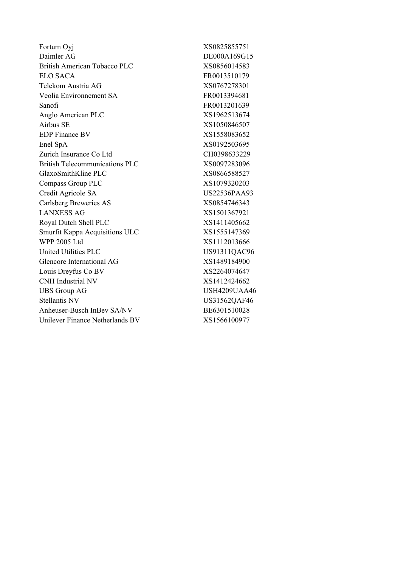| Fortum Oyj                            | XS0825855751        |
|---------------------------------------|---------------------|
| Daimler AG                            | DE000A169G15        |
| <b>British American Tobacco PLC</b>   | XS0856014583        |
| <b>ELO SACA</b>                       | FR0013510179        |
| Telekom Austria AG                    | XS0767278301        |
| Veolia Environnement SA               | FR0013394681        |
| Sanofi                                | FR0013201639        |
| Anglo American PLC                    | XS1962513674        |
| Airbus SE                             | XS1050846507        |
| <b>EDP</b> Finance BV                 | XS1558083652        |
| Enel SpA                              | XS0192503695        |
| Zurich Insurance Co Ltd               | CH0398633229        |
| <b>British Telecommunications PLC</b> | XS0097283096        |
| GlaxoSmithKline PLC                   | XS0866588527        |
| <b>Compass Group PLC</b>              | XS1079320203        |
| Credit Agricole SA                    | <b>US22536PAA93</b> |
| Carlsberg Breweries AS                | XS0854746343        |
| <b>LANXESS AG</b>                     | XS1501367921        |
| Royal Dutch Shell PLC                 | XS1411405662        |
| Smurfit Kappa Acquisitions ULC        | XS1555147369        |
| <b>WPP 2005 Ltd</b>                   | XS1112013666        |
| <b>United Utilities PLC</b>           | US91311QAC96        |
| Glencore International AG             | XS1489184900        |
| Louis Dreyfus Co BV                   | XS2264074647        |
| <b>CNH</b> Industrial NV              | XS1412424662        |
| <b>UBS Group AG</b>                   | <b>USH4209UAA46</b> |
| <b>Stellantis NV</b>                  | US31562QAF46        |
| Anheuser-Busch InBev SA/NV            | BE6301510028        |
| Unilever Finance Netherlands BV       | XS1566100977        |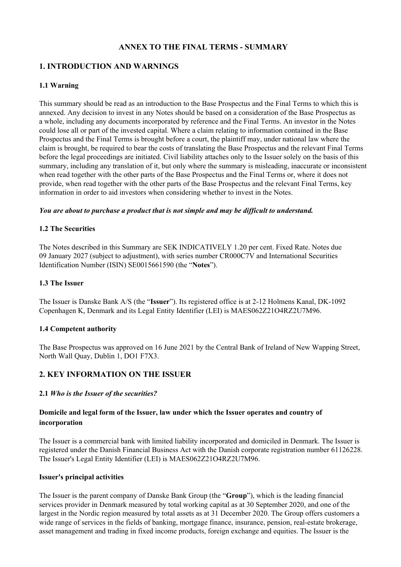# **ANNEX TO THE FINAL TERMS - SUMMARY**

## **1. INTRODUCTION AND WARNINGS**

#### **1.1 Warning**

This summary should be read as an introduction to the Base Prospectus and the Final Terms to which this is annexed. Any decision to invest in any Notes should be based on a consideration of the Base Prospectus as a whole, including any documents incorporated by reference and the Final Terms. An investor in the Notes could lose all or part of the invested capital. Where a claim relating to information contained in the Base Prospectus and the Final Terms is brought before a court, the plaintiff may, under national law where the claim is brought, be required to bear the costs of translating the Base Prospectus and the relevant Final Terms before the legal proceedings are initiated. Civil liability attaches only to the Issuer solely on the basis of this summary, including any translation of it, but only where the summary is misleading, inaccurate or inconsistent when read together with the other parts of the Base Prospectus and the Final Terms or, where it does not provide, when read together with the other parts of the Base Prospectus and the relevant Final Terms, key information in order to aid investors when considering whether to invest in the Notes.

#### *You are about to purchase a product that is not simple and may be difficult to understand.*

#### **1.2 The Securities**

The Notes described in this Summary are SEK INDICATIVELY 1.20 per cent. Fixed Rate. Notes due 09 January 2027 (subject to adjustment), with series number CR000C7V and International Securities Identification Number (ISIN) SE0015661590 (the "**Notes**").

#### **1.3 The Issuer**

The Issuer is Danske Bank A/S (the "**Issuer**"). Its registered office is at 2-12 Holmens Kanal, DK-1092 Copenhagen K, Denmark and its Legal Entity Identifier (LEI) is MAES062Z21O4RZ2U7M96.

#### **1.4 Competent authority**

The Base Prospectus was approved on 16 June 2021 by the Central Bank of Ireland of New Wapping Street, North Wall Quay, Dublin 1, DO1 F7X3.

#### **2. KEY INFORMATION ON THE ISSUER**

#### **2.1** *Who is the Issuer of the securities?*

#### **Domicile and legal form of the Issuer, law under which the Issuer operates and country of incorporation**

The Issuer is a commercial bank with limited liability incorporated and domiciled in Denmark. The Issuer is registered under the Danish Financial Business Act with the Danish corporate registration number 61126228. The Issuer's Legal Entity Identifier (LEI) is MAES062Z21O4RZ2U7M96.

#### **Issuer's principal activities**

The Issuer is the parent company of Danske Bank Group (the "**Group**"), which is the leading financial services provider in Denmark measured by total working capital as at 30 September 2020, and one of the largest in the Nordic region measured by total assets as at 31 December 2020. The Group offers customers a wide range of services in the fields of banking, mortgage finance, insurance, pension, real-estate brokerage, asset management and trading in fixed income products, foreign exchange and equities. The Issuer is the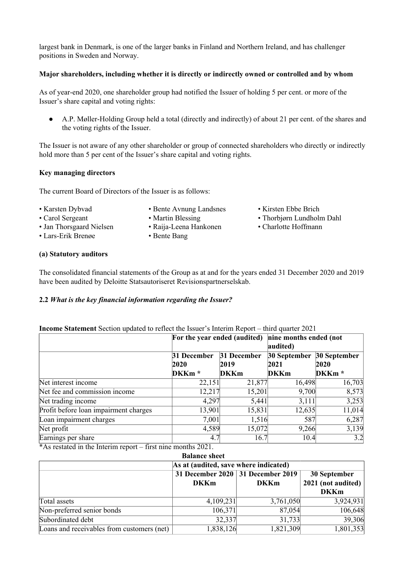largest bank in Denmark, is one of the larger banks in Finland and Northern Ireland, and has challenger positions in Sweden and Norway.

#### **Major shareholders, including whether it is directly or indirectly owned or controlled and by whom**

As of year-end 2020, one shareholder group had notified the Issuer of holding 5 per cent. or more of the Issuer's share capital and voting rights:

● A.P. Møller-Holding Group held a total (directly and indirectly) of about 21 per cent. of the shares and the voting rights of the Issuer.

The Issuer is not aware of any other shareholder or group of connected shareholders who directly or indirectly hold more than 5 per cent of the Issuer's share capital and voting rights.

#### **Key managing directors**

The current Board of Directors of the Issuer is as follows:

- Karsten Dybvad Bente Avnung Landsnes Kirsten Ebbe Brich
	-
- 
- 
- Lars-Erik Brenøe Bente Bang
- 
- Carol Sergeant Martin Blessing Thorbjørn Lundholm Dahl
- Jan Thorsgaard Nielsen Raija-Leena Hankonen Charlotte Hoffmann

#### **(a) Statutory auditors**

The consolidated financial statements of the Group as at and for the years ended 31 December 2020 and 2019 have been audited by Deloitte Statsautoriseret Revisionspartnerselskab.

#### **2.2** *What is the key financial information regarding the Issuer?*

#### **Income Statement** Section updated to reflect the Issuer's Interim Report – third quarter 2021

|                                       | For the year ended (audited) |                             | nine months ended (not<br>audited) |                   |
|---------------------------------------|------------------------------|-----------------------------|------------------------------------|-------------------|
|                                       | 31 December                  | 31 December<br>30 September |                                    | 30 September      |
|                                       | <b>2020</b>                  | 2019                        | 2021                               | 2020              |
|                                       | DKKm <sup>*</sup>            | <b>DKKm</b>                 | <b>DKKm</b>                        | DKKm <sup>*</sup> |
| Net interest income                   | 22,151                       | 21,877                      | 16,498                             | 16,703            |
| Net fee and commission income         | 12,217                       | 15,201                      | 9,700                              | 8,573             |
| Net trading income                    | 4,297                        | 5,441                       | 3,111                              | 3,253             |
| Profit before loan impairment charges | 13,901                       | 15,831                      | 12,635                             | 11,014            |
| Loan impairment charges               | 7,001                        | 1,516                       | 587                                | 6,287             |
| Net profit                            | 4,589                        | 15,072                      | 9,266                              | 3,139             |
| Earnings per share<br>.<br>$\sim$     | 4.7                          | 16.7                        | 10.4                               | 3.2               |

\*As restated in the Interim report – first nine months 2021.

| <b>Balance sheet</b>                       |                                                     |             |                      |  |  |  |  |
|--------------------------------------------|-----------------------------------------------------|-------------|----------------------|--|--|--|--|
| As at (audited, save where indicated)      |                                                     |             |                      |  |  |  |  |
|                                            | 31 December 2020   31 December 2019<br>30 September |             |                      |  |  |  |  |
|                                            | <b>DKKm</b>                                         | <b>DKKm</b> | $2021$ (not audited) |  |  |  |  |
|                                            |                                                     |             | <b>DKKm</b>          |  |  |  |  |
| Total assets                               | 4,109,231                                           | 3,761,050   | 3,924,931            |  |  |  |  |
| Non-preferred senior bonds                 | 106,371                                             | 87,054      | 106,648              |  |  |  |  |
| Subordinated debt                          | 32,337                                              | 31,733      | 39,306               |  |  |  |  |
| Loans and receivables from customers (net) | 1,838,126                                           | 1,821,309   | 1,801,353            |  |  |  |  |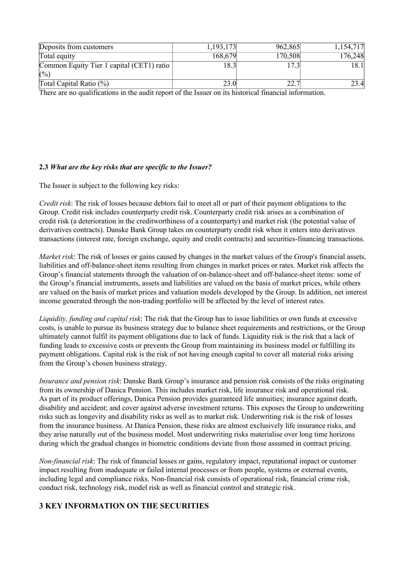| Deposits from customers                                                                                | 1,193,173 | 962,865 | 1,154,717 |  |  |  |
|--------------------------------------------------------------------------------------------------------|-----------|---------|-----------|--|--|--|
| Total equity                                                                                           | 168,679   | 170,508 | 176,248   |  |  |  |
| Common Equity Tier 1 capital (CET1) ratio                                                              | 18.3      | 7.3     | 18.1      |  |  |  |
| (0/0)                                                                                                  |           |         |           |  |  |  |
| Total Capital Ratio $(\%)$                                                                             | 23.0      | 22.7    | 23.4      |  |  |  |
| There are no qualifications in the qualit report of the Jesuer on its historical financial information |           |         |           |  |  |  |

There are no qualifications in the audit report of the Issuer on its historical financial information.

#### **2.3** *What are the key risks that are specific to the Issuer?*

The Issuer is subject to the following key risks:

*Credit risk*: The risk of losses because debtors fail to meet all or part of their payment obligations to the Group. Credit risk includes counterparty credit risk. Counterparty credit risk arises as a combination of credit risk (a deterioration in the creditworthiness of a counterparty) and market risk (the potential value of derivatives contracts). Danske Bank Group takes on counterparty credit risk when it enters into derivatives transactions (interest rate, foreign exchange, equity and credit contracts) and securities-financing transactions.

*Market risk*: The risk of losses or gains caused by changes in the market values of the Group's financial assets, liabilities and off-balance-sheet items resulting from changes in market prices or rates. Market risk affects the Group's financial statements through the valuation of on-balance-sheet and off-balance-sheet items: some of the Group's financial instruments, assets and liabilities are valued on the basis of market prices, while others are valued on the basis of market prices and valuation models developed by the Group. In addition, net interest income generated through the non-trading portfolio will be affected by the level of interest rates.

*Liquidity, funding and capital risk*: The risk that the Group has to issue liabilities or own funds at excessive costs, is unable to pursue its business strategy due to balance sheet requirements and restrictions, or the Group ultimately cannot fulfil its payment obligations due to lack of funds. Liquidity risk is the risk that a lack of funding leads to excessive costs or prevents the Group from maintaining its business model or fulfilling its payment obligations. Capital risk is the risk of not having enough capital to cover all material risks arising from the Group's chosen business strategy.

*Insurance and pension risk*: Danske Bank Group's insurance and pension risk consists of the risks originating from its ownership of Danica Pension. This includes market risk, life insurance risk and operational risk. As part of its product offerings, Danica Pension provides guaranteed life annuities; insurance against death, disability and accident; and cover against adverse investment returns. This exposes the Group to underwriting risks such as longevity and disability risks as well as to market risk. Underwriting risk is the risk of losses from the insurance business. At Danica Pension, these risks are almost exclusively life insurance risks, and they arise naturally out of the business model. Most underwriting risks materialise over long time horizons during which the gradual changes in biometric conditions deviate from those assumed in contract pricing.

*Non-financial risk*: The risk of financial losses or gains, regulatory impact, reputational impact or customer impact resulting from inadequate or failed internal processes or from people, systems or external events, including legal and compliance risks. Non-financial risk consists of operational risk, financial crime risk, conduct risk, technology risk, model risk as well as financial control and strategic risk.

# **3 KEY INFORMATION ON THE SECURITIES**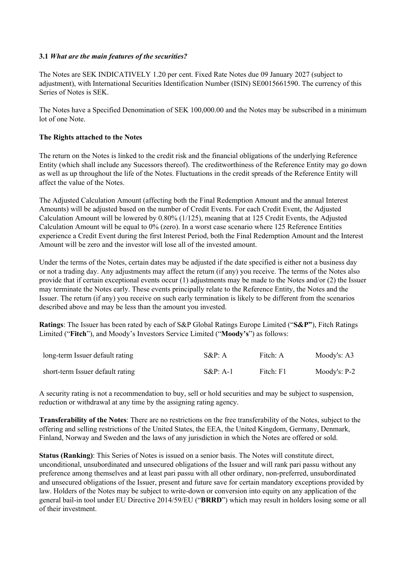#### **3.1** *What are the main features of the securities?*

The Notes are SEK INDICATIVELY 1.20 per cent. Fixed Rate Notes due 09 January 2027 (subject to adjustment), with International Securities Identification Number (ISIN) SE0015661590. The currency of this Series of Notes is SEK.

The Notes have a Specified Denomination of SEK 100,000.00 and the Notes may be subscribed in a minimum lot of one Note.

#### **The Rights attached to the Notes**

The return on the Notes is linked to the credit risk and the financial obligations of the underlying Reference Entity (which shall include any Sucessors thereof). The creditworthiness of the Reference Entity may go down as well as up throughout the life of the Notes. Fluctuations in the credit spreads of the Reference Entity will affect the value of the Notes.

The Adjusted Calculation Amount (affecting both the Final Redemption Amount and the annual Interest Amounts) will be adjusted based on the number of Credit Events. For each Credit Event, the Adjusted Calculation Amount will be lowered by 0.80% (1/125), meaning that at 125 Credit Events, the Adjusted Calculation Amount will be equal to 0% (zero). In a worst case scenario where 125 Reference Entities experience a Credit Event during the first Interest Period, both the Final Redemption Amount and the Interest Amount will be zero and the investor will lose all of the invested amount.

Under the terms of the Notes, certain dates may be adjusted if the date specified is either not a business day or not a trading day. Any adjustments may affect the return (if any) you receive. The terms of the Notes also provide that if certain exceptional events occur (1) adjustments may be made to the Notes and/or (2) the Issuer may terminate the Notes early. These events principally relate to the Reference Entity, the Notes and the Issuer. The return (if any) you receive on such early termination is likely to be different from the scenarios described above and may be less than the amount you invested.

**Ratings**: The Issuer has been rated by each of S&P Global Ratings Europe Limited ("**S&P"**), Fitch Ratings Limited ("**Fitch**"), and Moody's Investors Service Limited ("**Moody's**") as follows:

| long-term Issuer default rating  | $S\&P: A$   | Fitch: A  | Moody's: A3  |
|----------------------------------|-------------|-----------|--------------|
| short-term Issuer default rating | $S\&P: A-1$ | Fitch: F1 | Moody's: P-2 |

A security rating is not a recommendation to buy, sell or hold securities and may be subject to suspension, reduction or withdrawal at any time by the assigning rating agency.

**Transferability of the Notes**: There are no restrictions on the free transferability of the Notes, subject to the offering and selling restrictions of the United States, the EEA, the United Kingdom, Germany, Denmark, Finland, Norway and Sweden and the laws of any jurisdiction in which the Notes are offered or sold.

**Status (Ranking)**: This Series of Notes is issued on a senior basis. The Notes will constitute direct, unconditional, unsubordinated and unsecured obligations of the Issuer and will rank pari passu without any preference among themselves and at least pari passu with all other ordinary, non-preferred, unsubordinated and unsecured obligations of the Issuer, present and future save for certain mandatory exceptions provided by law. Holders of the Notes may be subject to write-down or conversion into equity on any application of the general bail-in tool under EU Directive 2014/59/EU ("**BRRD**") which may result in holders losing some or all of their investment.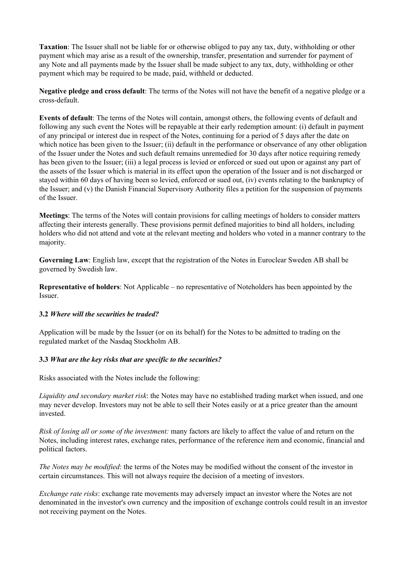**Taxation**: The Issuer shall not be liable for or otherwise obliged to pay any tax, duty, withholding or other payment which may arise as a result of the ownership, transfer, presentation and surrender for payment of any Note and all payments made by the Issuer shall be made subject to any tax, duty, withholding or other payment which may be required to be made, paid, withheld or deducted.

**Negative pledge and cross default**: The terms of the Notes will not have the benefit of a negative pledge or a cross-default.

**Events of default**: The terms of the Notes will contain, amongst others, the following events of default and following any such event the Notes will be repayable at their early redemption amount: (i) default in payment of any principal or interest due in respect of the Notes, continuing for a period of 5 days after the date on which notice has been given to the Issuer; (ii) default in the performance or observance of any other obligation of the Issuer under the Notes and such default remains unremedied for 30 days after notice requiring remedy has been given to the Issuer; (iii) a legal process is levied or enforced or sued out upon or against any part of the assets of the Issuer which is material in its effect upon the operation of the Issuer and is not discharged or stayed within 60 days of having been so levied, enforced or sued out, (iv) events relating to the bankruptcy of the Issuer; and (v) the Danish Financial Supervisory Authority files a petition for the suspension of payments of the Issuer.

**Meetings**: The terms of the Notes will contain provisions for calling meetings of holders to consider matters affecting their interests generally. These provisions permit defined majorities to bind all holders, including holders who did not attend and vote at the relevant meeting and holders who voted in a manner contrary to the majority.

**Governing Law**: English law, except that the registration of the Notes in Euroclear Sweden AB shall be governed by Swedish law.

**Representative of holders**: Not Applicable – no representative of Noteholders has been appointed by the Issuer.

#### **3.2** *Where will the securities be traded?*

Application will be made by the Issuer (or on its behalf) for the Notes to be admitted to trading on the regulated market of the Nasdaq Stockholm AB.

#### **3.3** *What are the key risks that are specific to the securities?*

Risks associated with the Notes include the following:

*Liquidity and secondary market risk*: the Notes may have no established trading market when issued, and one may never develop. Investors may not be able to sell their Notes easily or at a price greater than the amount invested.

*Risk of losing all or some of the investment:* many factors are likely to affect the value of and return on the Notes, including interest rates, exchange rates, performance of the reference item and economic, financial and political factors.

*The Notes may be modified*: the terms of the Notes may be modified without the consent of the investor in certain circumstances. This will not always require the decision of a meeting of investors.

*Exchange rate risks*: exchange rate movements may adversely impact an investor where the Notes are not denominated in the investor's own currency and the imposition of exchange controls could result in an investor not receiving payment on the Notes.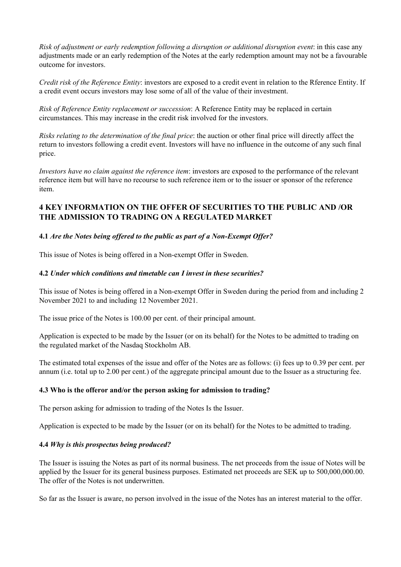*Risk of adjustment or early redemption following a disruption or additional disruption event*: in this case any adjustments made or an early redemption of the Notes at the early redemption amount may not be a favourable outcome for investors.

*Credit risk of the Reference Entity*: investors are exposed to a credit event in relation to the Rference Entity. If a credit event occurs investors may lose some of all of the value of their investment.

*Risk of Reference Entity replacement or succession*: A Reference Entity may be replaced in certain circumstances. This may increase in the credit risk involved for the investors.

*Risks relating to the determination of the final price*: the auction or other final price will directly affect the return to investors following a credit event. Investors will have no influence in the outcome of any such final price.

*Investors have no claim against the reference item*: investors are exposed to the performance of the relevant reference item but will have no recourse to such reference item or to the issuer or sponsor of the reference item.

# **4 KEY INFORMATION ON THE OFFER OF SECURITIES TO THE PUBLIC AND /OR THE ADMISSION TO TRADING ON A REGULATED MARKET**

#### **4.1** *Are the Notes being offered to the public as part of a Non-Exempt Offer?*

This issue of Notes is being offered in a Non-exempt Offer in Sweden.

#### **4.2** *Under which conditions and timetable can I invest in these securities?*

This issue of Notes is being offered in a Non-exempt Offer in Sweden during the period from and including 2 November 2021 to and including 12 November 2021.

The issue price of the Notes is 100.00 per cent. of their principal amount.

Application is expected to be made by the Issuer (or on its behalf) for the Notes to be admitted to trading on the regulated market of the Nasdaq Stockholm AB.

The estimated total expenses of the issue and offer of the Notes are as follows: (i) fees up to 0.39 per cent. per annum (i.e. total up to 2.00 per cent.) of the aggregate principal amount due to the Issuer as a structuring fee.

#### **4.3 Who is the offeror and/or the person asking for admission to trading?**

The person asking for admission to trading of the Notes Is the Issuer.

Application is expected to be made by the Issuer (or on its behalf) for the Notes to be admitted to trading.

#### **4.4** *Why is this prospectus being produced?*

The Issuer is issuing the Notes as part of its normal business. The net proceeds from the issue of Notes will be applied by the Issuer for its general business purposes. Estimated net proceeds are SEK up to 500,000,000.00. The offer of the Notes is not underwritten.

So far as the Issuer is aware, no person involved in the issue of the Notes has an interest material to the offer.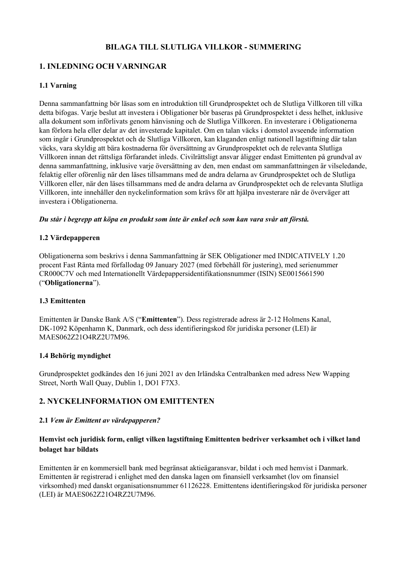# **BILAGA TILL SLUTLIGA VILLKOR - SUMMERING**

# **1. INLEDNING OCH VARNINGAR**

#### **1.1 Varning**

Denna sammanfattning bör läsas som en introduktion till Grundprospektet och de Slutliga Villkoren till vilka detta bifogas. Varje beslut att investera i Obligationer bör baseras på Grundprospektet i dess helhet, inklusive alla dokument som införlivats genom hänvisning och de Slutliga Villkoren. En investerare i Obligationerna kan förlora hela eller delar av det investerade kapitalet. Om en talan väcks i domstol avseende information som ingår i Grundprospektet och de Slutliga Villkoren, kan klaganden enligt nationell lagstiftning där talan väcks, vara skyldig att bära kostnaderna för översättning av Grundprospektet och de relevanta Slutliga Villkoren innan det rättsliga förfarandet inleds. Civilrättsligt ansvar åligger endast Emittenten på grundval av denna sammanfattning, inklusive varje översättning av den, men endast om sammanfattningen är vilseledande, felaktig eller oförenlig när den läses tillsammans med de andra delarna av Grundprospektet och de Slutliga Villkoren eller, när den läses tillsammans med de andra delarna av Grundprospektet och de relevanta Slutliga Villkoren, inte innehåller den nyckelinformation som krävs för att hjälpa investerare när de överväger att investera i Obligationerna.

#### *Du står i begrepp att köpa en produkt som inte är enkel och som kan vara svår att förstå.*

#### **1.2 Värdepapperen**

Obligationerna som beskrivs i denna Sammanfattning är SEK Obligationer med INDICATIVELY 1.20 procent Fast Ränta med förfallodag 09 January 2027 (med förbehåll för justering), med serienummer CR000C7V och med Internationellt Värdepappersidentifikationsnummer (ISIN) SE0015661590 ("**Obligationerna**").

#### **1.3 Emittenten**

Emittenten är Danske Bank A/S ("**Emittenten**"). Dess registrerade adress är 2-12 Holmens Kanal, DK-1092 Köpenhamn K, Danmark, och dess identifieringskod för juridiska personer (LEI) är MAES062Z21O4RZ2U7M96.

#### **1.4 Behörig myndighet**

Grundprospektet godkändes den 16 juni 2021 av den Irländska Centralbanken med adress New Wapping Street, North Wall Quay, Dublin 1, DO1 F7X3.

#### **2. NYCKELINFORMATION OM EMITTENTEN**

#### **2.1** *Vem är Emittent av värdepapperen?*

#### **Hemvist och juridisk form, enligt vilken lagstiftning Emittenten bedriver verksamhet och i vilket land bolaget har bildats**

Emittenten är en kommersiell bank med begränsat aktieägaransvar, bildat i och med hemvist i Danmark. Emittenten är registrerad i enlighet med den danska lagen om finansiell verksamhet (lov om finansiel virksomhed) med danskt organisationsnummer 61126228. Emittentens identifieringskod för juridiska personer (LEI) är MAES062Z21O4RZ2U7M96.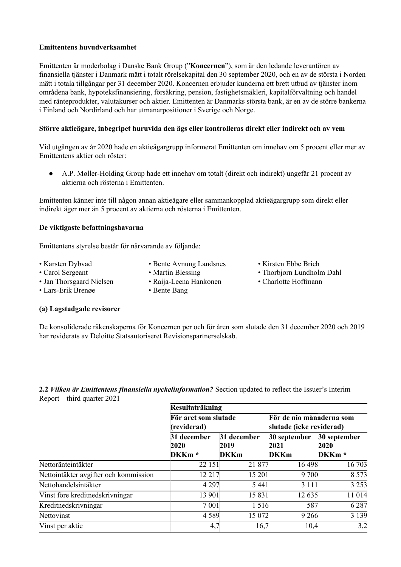#### **Emittentens huvudverksamhet**

Emittenten är moderbolag i Danske Bank Group ("**Koncernen**"), som är den ledande leverantören av finansiella tjänster i Danmark mätt i totalt rörelsekapital den 30 september 2020, och en av de största i Norden mätt i totala tillgångar per 31 december 2020. Koncernen erbjuder kunderna ett brett utbud av tjänster inom områdena bank, hypoteksfinansiering, försäkring, pension, fastighetsmäkleri, kapitalförvaltning och handel med ränteprodukter, valutakurser och aktier. Emittenten är Danmarks största bank, är en av de större bankerna i Finland och Nordirland och har utmanarpositioner i Sverige och Norge.

#### **Större aktieägare, inbegripet huruvida den ägs eller kontrolleras direkt eller indirekt och av vem**

Vid utgången av år 2020 hade en aktieägargrupp informerat Emittenten om innehav om 5 procent eller mer av Emittentens aktier och röster:

● A.P. Møller-Holding Group hade ett innehav om totalt (direkt och indirekt) ungefär 21 procent av aktierna och rösterna i Emittenten.

Emittenten känner inte till någon annan aktieägare eller sammankopplad aktieägargrupp som direkt eller indirekt äger mer än 5 procent av aktierna och rösterna i Emittenten.

#### **De viktigaste befattningshavarna**

Emittentens styrelse består för närvarande av följande:

- 
- Karsten Dybvad Bente Avnung Landsnes Kirsten Ebbe Brich
- 
- 
- Jan Thorsgaard Nielsen Raija-Leena Hankonen Charlotte Hoffmann
	-
- 
- Carol Sergeant Martin Blessing Thorbjørn Lundholm Dahl
	-

• Lars-Erik Brenøe • Bente Bang

## **(a) Lagstadgade revisorer**

De konsoliderade räkenskaperna för Koncernen per och för åren som slutade den 31 december 2020 och 2019 har reviderats av Deloitte Statsautoriseret Revisionspartnerselskab.

**2.2** *Vilken är Emittentens finansiella nyckelinformation?* Section updated to reflect the Issuer's Interim Report – third quarter 2021

|                                       | Resultaträkning                          |                                    |                                                      |                                           |
|---------------------------------------|------------------------------------------|------------------------------------|------------------------------------------------------|-------------------------------------------|
|                                       | För året som slutade<br>(reviderad)      |                                    | För de nio månaderna som<br>slutade (icke reviderad) |                                           |
|                                       | 31 december<br>2020<br>DKKm <sup>*</sup> | 31 december<br>2019<br><b>DKKm</b> | 30 september<br>2021<br><b>DKKm</b>                  | 30 september<br>2020<br>DKKm <sup>*</sup> |
| Nettoränteintäkter                    | 22 151                                   | 21 877                             | 16 4 98                                              | 16 703                                    |
| Nettointäkter avgifter och kommission | 12 217                                   | 15 201                             | 9 700                                                | 8 5 7 3                                   |
| Nettohandelsintäkter                  | 4 2 9 7                                  | 5 4 4 1                            | 3 1 1 1                                              | 3 2 5 3                                   |
| Vinst före kredit ned skrivningar     | 13 901                                   | 15831                              | 12 635                                               | 11 014                                    |
| Kreditnedskrivningar                  | 7 001                                    | 1516                               | 587                                                  | 6 2 8 7                                   |
| Nettovinst                            | 4589                                     | 15 072                             | 9 2 6 6                                              | 3 1 3 9                                   |
| Vinst per aktie                       | 4,7                                      | 16,7                               | 10,4                                                 | 3,2                                       |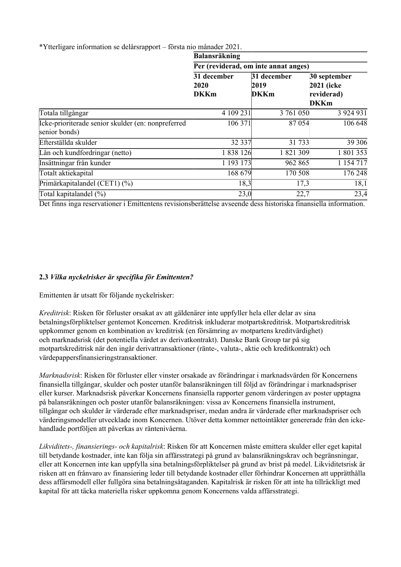\*Ytterligare information se delårsrapport – första nio månader 2021.

|                                                                     | <b>Balansräkning</b><br>Per (reviderad, om inte annat anges) |                                    |                                                          |  |
|---------------------------------------------------------------------|--------------------------------------------------------------|------------------------------------|----------------------------------------------------------|--|
|                                                                     |                                                              |                                    |                                                          |  |
|                                                                     | 31 december<br>2020<br><b>DKKm</b>                           | 31 december<br>2019<br><b>DKKm</b> | 30 september<br>2021 (icke)<br>reviderad)<br><b>DKKm</b> |  |
| Totala tillgångar                                                   | 4 109 231                                                    | 3 761 050                          | 3924931                                                  |  |
| Icke-prioriterade senior skulder (en: nonpreferred<br>senior bonds) | 106 371                                                      | 87 054                             | 106 648                                                  |  |
| Efterställda skulder                                                | 32 337                                                       | 31 733                             | 39 30 6                                                  |  |
| Lån och kundfordringar (netto)                                      | 1838126                                                      | 1821309                            | 1 801 353                                                |  |
| Insättningar från kunder                                            | 1 193 173                                                    | 962 865                            | 1 154 717                                                |  |
| Totalt aktiekapital                                                 | 168 679                                                      | 170 508                            | 176 248                                                  |  |
| Primärkapitalandel (CET1) (%)                                       | 18,3                                                         | 17,3                               | 18,1                                                     |  |
| Total kapitalandel (%)                                              | 23,0                                                         | 22,7                               | 23,4                                                     |  |

Det finns inga reservationer i Emittentens revisionsberättelse avseende dess historiska finansiella information.

#### **2.3** *Vilka nyckelrisker är specifika för Emittenten?*

Emittenten är utsatt för följande nyckelrisker:

*Kreditrisk*: Risken för förluster orsakat av att gäldenärer inte uppfyller hela eller delar av sina betalningsförpliktelser gentemot Koncernen. Kreditrisk inkluderar motpartskreditrisk. Motpartskreditrisk uppkommer genom en kombination av kreditrisk (en försämring av motpartens kreditvärdighet) och marknadsrisk (det potentiella värdet av derivatkontrakt). Danske Bank Group tar på sig motpartskreditrisk när den ingår derivattransaktioner (ränte-, valuta-, aktie och kreditkontrakt) och värdepappersfinansieringstransaktioner.

*Marknadsrisk*: Risken för förluster eller vinster orsakade av förändringar i marknadsvärden för Koncernens finansiella tillgångar, skulder och poster utanför balansräkningen till följd av förändringar i marknadspriser eller kurser. Marknadsrisk påverkar Koncernens finansiella rapporter genom värderingen av poster upptagna på balansräkningen och poster utanför balansräkningen: vissa av Koncernens finansiella instrument, tillgångar och skulder är värderade efter marknadspriser, medan andra är värderade efter marknadspriser och värderingsmodeller utvecklade inom Koncernen. Utöver detta kommer nettointäkter genererade från den ickehandlade portföljen att påverkas av räntenivåerna.

*Likviditets-, finansierings- och kapitalrisk*: Risken för att Koncernen måste emittera skulder eller eget kapital till betydande kostnader, inte kan följa sin affärsstrategi på grund av balansräkningskrav och begränsningar, eller att Koncernen inte kan uppfylla sina betalningsförpliktelser på grund av brist på medel. Likviditetsrisk är risken att en frånvaro av finansiering leder till betydande kostnader eller förhindrar Koncernen att upprätthålla dess affärsmodell eller fullgöra sina betalningsåtaganden. Kapitalrisk är risken för att inte ha tillräckligt med kapital för att täcka materiella risker uppkomna genom Koncernens valda affärsstrategi.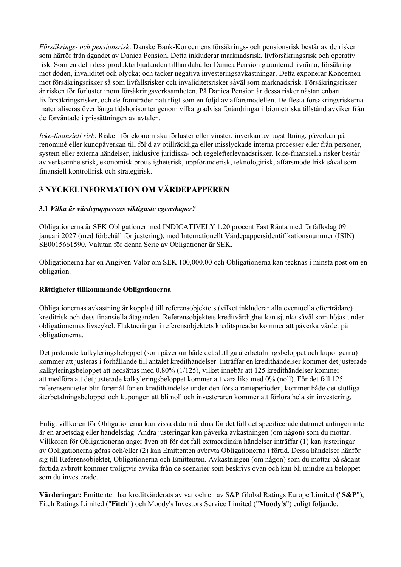*Försäkrings- och pensionsrisk*: Danske Bank-Koncernens försäkrings- och pensionsrisk består av de risker som härrör från ägandet av Danica Pension. Detta inkluderar marknadsrisk, livförsäkringsrisk och operativ risk. Som en del i dess produkterbjudanden tillhandahåller Danica Pension garanterad livränta; försäkring mot döden, invaliditet och olycka; och täcker negativa investeringsavkastningar. Detta exponerar Koncernen mot försäkringsrisker så som livfallsrisker och invaliditetsrisker såväl som marknadsrisk. Försäkringsrisker är risken för förluster inom försäkringsverksamheten. På Danica Pension är dessa risker nästan enbart livförsäkringsrisker, och de framträder naturligt som en följd av affärsmodellen. De flesta försäkringsriskerna materialiseras över långa tidshorisonter genom vilka gradvisa förändringar i biometriska tillstånd avviker från de förväntade i prissättningen av avtalen.

*Icke-finansiell risk*: Risken för ekonomiska förluster eller vinster, inverkan av lagstiftning, påverkan på renommé eller kundpåverkan till följd av otillräckliga eller misslyckade interna processer eller från personer, system eller externa händelser, inklusive juridiska- och regelefterlevnadsrisker. Icke-finansiella risker består av verksamhetsrisk, ekonomisk brottslighetsrisk, uppföranderisk, teknologirisk, affärsmodellrisk såväl som finansiell kontrollrisk och strategirisk.

# **3 NYCKELINFORMATION OM VÄRDEPAPPEREN**

#### **3.1** *Vilka är värdepapperens viktigaste egenskaper?*

Obligationerna är SEK Obligationer med INDICATIVELY 1.20 procent Fast Ränta med förfallodag 09 januari 2027 (med förbehåll för justering), med Internationellt Värdepappersidentifikationsnummer (ISIN) SE0015661590. Valutan för denna Serie av Obligationer är SEK.

Obligationerna har en Angiven Valör om SEK 100,000.00 och Obligationerna kan tecknas i minsta post om en obligation.

#### **Rättigheter tillkommande Obligationerna**

Obligationernas avkastning är kopplad till referensobjektets (vilket inkluderar alla eventuella efterträdare) kreditrisk och dess finansiella åtaganden. Referensobjektets kreditvärdighet kan sjunka såväl som höjas under obligationernas livscykel. Fluktueringar i referensobjektets kreditspreadar kommer att påverka värdet på obligationerna.

Det justerade kalkyleringsbeloppet (som påverkar både det slutliga återbetalningsbeloppet och kupongerna) kommer att justeras i förhållande till antalet kredithändelser. Inträffar en kredithändelser kommer det justerade kalkyleringsbeloppet att nedsättas med 0.80% (1/125), vilket innebär att 125 kredithändelser kommer att medföra att det justerade kalkyleringsbeloppet kommer att vara lika med 0% (noll). För det fall 125 referensentiteter blir föremål för en kredithändelse under den första ränteperioden, kommer både det slutliga återbetalningsbeloppet och kupongen att bli noll och investeraren kommer att förlora hela sin investering.

Enligt villkoren för Obligationerna kan vissa datum ändras för det fall det specificerade datumet antingen inte är en arbetsdag eller handelsdag. Andra justeringar kan påverka avkastningen (om någon) som du mottar. Villkoren för Obligationerna anger även att för det fall extraordinära händelser inträffar (1) kan justeringar av Obligationerna göras och/eller (2) kan Emittenten avbryta Obligationerna i förtid. Dessa händelser hänför sig till Referensobjektet, Obligationerna och Emittenten. Avkastningen (om någon) som du mottar på sådant förtida avbrott kommer troligtvis avvika från de scenarier som beskrivs ovan och kan bli mindre än beloppet som du investerade.

**Värderingar:** Emittenten har kreditvärderats av var och en av S&P Global Ratings Europe Limited ("**S&P**"), Fitch Ratings Limited ("**Fitch**") och Moody's Investors Service Limited ("**Moody's**") enligt följande: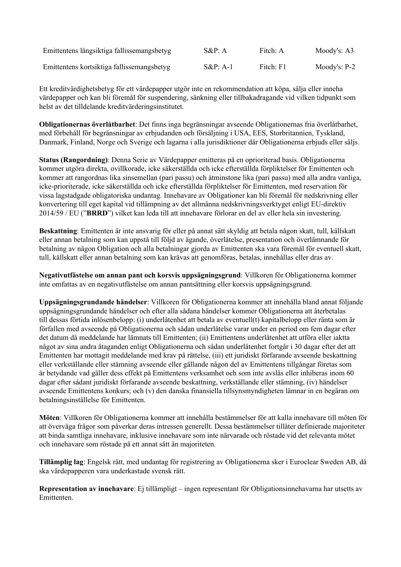| Emittentens långsiktiga fallissemangsbetyg | $S\&P: A$   | Fitch: A  | Moody's: $A3$  |
|--------------------------------------------|-------------|-----------|----------------|
| Emittentens kortsiktiga fallissemangsbetyg | $S\&P: A-1$ | Fitch: F1 | Moody's: $P-2$ |

Ett kreditvärdighetsbetyg för ett värdepapper utgör inte en rekommendation att köpa, sälja eller inneha värdepapper och kan bli föremål för suspendering, sänkning eller tillbakadragande vid vilken tidpunkt som helst av det tilldelande kreditvärderingsinstitutet.

**Obligationernas överlåtbarhet**: Det finns inga begränsningar avseende Obligationernas fria överlåtbarhet, med förbehåll för begränsningar av erbjudanden och försäljning i USA, EES, Storbritannien, Tyskland, Danmark, Finland, Norge och Sverige och lagarna i alla jurisdiktioner där Obligationerna erbjuds eller säljs.

**Status (Rangordning)**: Denna Serie av Värdepapper emitteras på en oprioriterad basis. Obligationerna kommer utgöra direkta, ovillkorade, icke säkerställda och icke efterställda förpliktelser för Emittenten och kommer att rangordnas lika sinsemellan (pari passu) och åtminstone lika (pari passu) med alla andra vanliga, icke-prioriterade, icke säkerställda och icke efterställda förpliktelser för Emittenten, med reservation för vissa lagstadgade obligatoriska undantag. Innehavare av Obligationer kan bli föremål för nedskrivning eller konvertering till eget kapital vid tillämpning av det allmänna nedskrivningsverktyget enligt EU-direktiv 2014/59 / EU ("**BRRD**") vilket kan leda till att innehavare förlorar en del av eller hela sin investering.

**Beskattning**: Emittenten är inte ansvarig för eller på annat sätt skyldig att betala någon skatt, tull, källskatt eller annan betalning som kan uppstå till följd av ägande, överlåtelse, presentation och överlämnande för betalning av någon Obligation och alla betalningar gjorda av Emittenten ska vara föremål för eventuell skatt, tull, källskatt eller annan betalning som kan krävas att genomföras, betalas, innehållas eller dras av.

**Negativutfästelse om annan pant och korsvis uppsägningsgrund**: Villkoren för Obligationerna kommer inte omfattas av en negativutfästelse om annan pantsättning eller korsvis uppsägningsgrund.

**Uppsägningsgrundande händelser**: Villkoren för Obligationerna kommer att innehålla bland annat följande uppsägningsgrundande händelser och efter alla sådana händelser kommer Obligationerna att återbetalas till dessas förtida inlösenbelopp: (i) underlåtenhet att betala av eventuell(t) kapitalbelopp eller ränta som är förfallen med avseende på Obligationerna och sådan underlåtelse varar under en period om fem dagar efter det datum då meddelande har lämnats till Emittenten; (ii) Emittentens underlåtenhet att utföra eller iaktta något av sina andra åtaganden enligt Obligationerna och sådan underlåtenhet fortgår i 30 dagar efter det att Emittenten har mottagit meddelande med krav på rättelse, (iii) ett juridiskt förfarande avseende beskattning eller verkställande eller stämning avseende eller gällande någon del av Emittentens tillgångar företas som är betydande vad gäller dess effekt på Emittentens verksamhet och som inte avslås eller inhiberas inom 60 dagar efter sådant juridiskt förfarande avseende beskattning, verkställande eller stämning, (iv) händelser avseende Emittentens konkurs; och (v) den danska finansiella tillsynsmyndigheten lämnar in en begäran om betalningsinställelse för Emittenten.

**Möten**: Villkoren för Obligationerna kommer att innehålla bestämmelser för att kalla innehavare till möten för att överväga frågor som påverkar deras intressen generellt. Dessa bestämmelser tillåter definierade majoriteter att binda samtliga innehavare, inklusive innehavare som inte närvarade och röstade vid det relevanta mötet och innehavare som röstade på ett annat sätt än majoriteten.

**Tillämplig lag**: Engelsk rätt, med undantag för registrering av Obligationerna sker i Euroclear Sweden AB, då ska värdepapperen vara underkastade svensk rätt.

**Representation av innehavare**: Ej tillämpligt – ingen representant för Obligationsinnehavarna har utsetts av **Emittenten**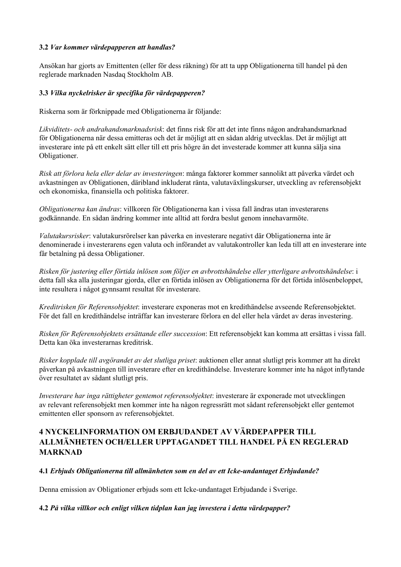#### **3.2** *Var kommer värdepapperen att handlas?*

Ansökan har gjorts av Emittenten (eller för dess räkning) för att ta upp Obligationerna till handel på den reglerade marknaden Nasdaq Stockholm AB.

#### **3.3** *Vilka nyckelrisker är specifika för värdepapperen?*

Riskerna som är förknippade med Obligationerna är följande:

*Likviditets- och andrahandsmarknadsrisk*: det finns risk för att det inte finns någon andrahandsmarknad för Obligationerna när dessa emitteras och det är möjligt att en sådan aldrig utvecklas. Det är möjligt att investerare inte på ett enkelt sätt eller till ett pris högre än det investerade kommer att kunna sälja sina Obligationer.

*Risk att förlora hela eller delar av investeringen*: många faktorer kommer sannolikt att påverka värdet och avkastningen av Obligationen, däribland inkluderat ränta, valutaväxlingskurser, utveckling av referensobjekt och ekonomiska, finansiella och politiska faktorer.

*Obligationerna kan ändras*: villkoren för Obligationerna kan i vissa fall ändras utan investerarens godkännande. En sådan ändring kommer inte alltid att fordra beslut genom innehavarmöte.

*Valutakursrisker*: valutakursrörelser kan påverka en investerare negativt där Obligationerna inte är denominerade i investerarens egen valuta och införandet av valutakontroller kan leda till att en investerare inte får betalning på dessa Obligationer.

*Risken för justering eller förtida inlösen som följer en avbrottshändelse eller ytterligare avbrottshändelse*: i detta fall ska alla justeringar gjorda, eller en förtida inlösen av Obligationerna för det förtida inlösenbeloppet, inte resultera i något gynnsamt resultat för investerare.

*Kreditrisken för Referensobjektet*: investerare exponeras mot en kredithändelse avseende Referensobjektet. För det fall en kredithändelse inträffar kan investerare förlora en del eller hela värdet av deras investering.

*Risken för Referensobjektets ersättande eller succession*: Ett referensobjekt kan komma att ersättas i vissa fall. Detta kan öka investerarnas kreditrisk.

*Risker kopplade till avgörandet av det slutliga priset*: auktionen eller annat slutligt pris kommer att ha direkt påverkan på avkastningen till investerare efter en kredithändelse. Investerare kommer inte ha något inflytande över resultatet av sådant slutligt pris.

*Investerare har inga rättigheter gentemot referensobjektet*: investerare är exponerade mot utvecklingen av relevant referensobjekt men kommer inte ha någon regressrätt mot sådant referensobjekt eller gentemot emittenten eller sponsorn av referensobjektet.

# **4 NYCKELINFORMATION OM ERBJUDANDET AV VÄRDEPAPPER TILL ALLMÄNHETEN OCH/ELLER UPPTAGANDET TILL HANDEL PÅ EN REGLERAD MARKNAD**

#### **4.1** *Erbjuds Obligationerna till allmänheten som en del av ett Icke-undantaget Erbjudande?*

Denna emission av Obligationer erbjuds som ett Icke-undantaget Erbjudande i Sverige.

#### **4.2** *På vilka villkor och enligt vilken tidplan kan jag investera i detta värdepapper?*